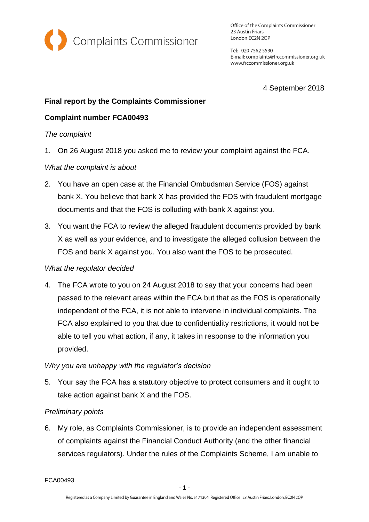

Office of the Complaints Commissioner 23 Austin Friars London EC2N 2QP

Tel: 020 7562 5530 E-mail: complaints@frccommissioner.org.uk www.frccommissioner.org.uk

4 September 2018

## **Final report by the Complaints Commissioner**

# **Complaint number FCA00493**

#### *The complaint*

1. On 26 August 2018 you asked me to review your complaint against the FCA.

## *What the complaint is about*

- 2. You have an open case at the Financial Ombudsman Service (FOS) against bank X. You believe that bank X has provided the FOS with fraudulent mortgage documents and that the FOS is colluding with bank X against you.
- 3. You want the FCA to review the alleged fraudulent documents provided by bank X as well as your evidence, and to investigate the alleged collusion between the FOS and bank X against you. You also want the FOS to be prosecuted.

## *What the regulator decided*

4. The FCA wrote to you on 24 August 2018 to say that your concerns had been passed to the relevant areas within the FCA but that as the FOS is operationally independent of the FCA, it is not able to intervene in individual complaints. The FCA also explained to you that due to confidentiality restrictions, it would not be able to tell you what action, if any, it takes in response to the information you provided.

## *Why you are unhappy with the regulator's decision*

5. Your say the FCA has a statutory objective to protect consumers and it ought to take action against bank X and the FOS.

## *Preliminary points*

6. My role, as Complaints Commissioner, is to provide an independent assessment of complaints against the Financial Conduct Authority (and the other financial services regulators). Under the rules of the Complaints Scheme, I am unable to

FCA00493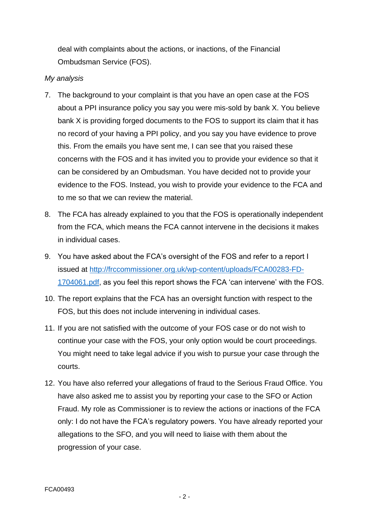deal with complaints about the actions, or inactions, of the Financial Ombudsman Service (FOS).

#### *My analysis*

- 7. The background to your complaint is that you have an open case at the FOS about a PPI insurance policy you say you were mis-sold by bank X. You believe bank X is providing forged documents to the FOS to support its claim that it has no record of your having a PPI policy, and you say you have evidence to prove this. From the emails you have sent me, I can see that you raised these concerns with the FOS and it has invited you to provide your evidence so that it can be considered by an Ombudsman. You have decided not to provide your evidence to the FOS. Instead, you wish to provide your evidence to the FCA and to me so that we can review the material.
- 8. The FCA has already explained to you that the FOS is operationally independent from the FCA, which means the FCA cannot intervene in the decisions it makes in individual cases.
- 9. You have asked about the FCA's oversight of the FOS and refer to a report I issued at [http://frccommissioner.org.uk/wp-content/uploads/FCA00283-FD-](http://frccommissioner.org.uk/wp-content/uploads/FCA00283-FD-1704061.pdf)[1704061.pdf,](http://frccommissioner.org.uk/wp-content/uploads/FCA00283-FD-1704061.pdf) as you feel this report shows the FCA 'can intervene' with the FOS.
- 10. The report explains that the FCA has an oversight function with respect to the FOS, but this does not include intervening in individual cases.
- 11. If you are not satisfied with the outcome of your FOS case or do not wish to continue your case with the FOS, your only option would be court proceedings. You might need to take legal advice if you wish to pursue your case through the courts.
- 12. You have also referred your allegations of fraud to the Serious Fraud Office. You have also asked me to assist you by reporting your case to the SFO or Action Fraud. My role as Commissioner is to review the actions or inactions of the FCA only: I do not have the FCA's regulatory powers. You have already reported your allegations to the SFO, and you will need to liaise with them about the progression of your case.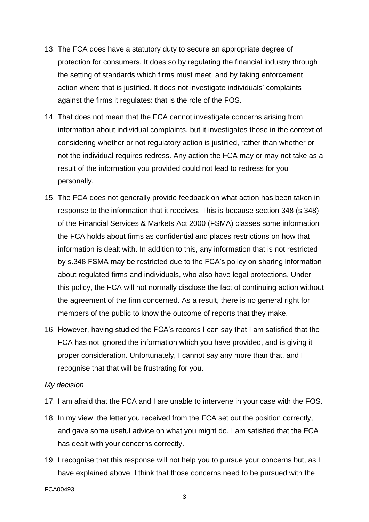- 13. The FCA does have a statutory duty to secure an appropriate degree of protection for consumers. It does so by regulating the financial industry through the setting of standards which firms must meet, and by taking enforcement action where that is justified. It does not investigate individuals' complaints against the firms it regulates: that is the role of the FOS.
- 14. That does not mean that the FCA cannot investigate concerns arising from information about individual complaints, but it investigates those in the context of considering whether or not regulatory action is justified, rather than whether or not the individual requires redress. Any action the FCA may or may not take as a result of the information you provided could not lead to redress for you personally.
- 15. The FCA does not generally provide feedback on what action has been taken in response to the information that it receives. This is because section 348 (s.348) of the Financial Services & Markets Act 2000 (FSMA) classes some information the FCA holds about firms as confidential and places restrictions on how that information is dealt with. In addition to this, any information that is not restricted by s.348 FSMA may be restricted due to the FCA's policy on sharing information about regulated firms and individuals, who also have legal protections. Under this policy, the FCA will not normally disclose the fact of continuing action without the agreement of the firm concerned. As a result, there is no general right for members of the public to know the outcome of reports that they make.
- 16. However, having studied the FCA's records I can say that I am satisfied that the FCA has not ignored the information which you have provided, and is giving it proper consideration. Unfortunately, I cannot say any more than that, and I recognise that that will be frustrating for you.

#### *My decision*

- 17. I am afraid that the FCA and I are unable to intervene in your case with the FOS.
- 18. In my view, the letter you received from the FCA set out the position correctly, and gave some useful advice on what you might do. I am satisfied that the FCA has dealt with your concerns correctly.
- 19. I recognise that this response will not help you to pursue your concerns but, as I have explained above, I think that those concerns need to be pursued with the

FCA00493